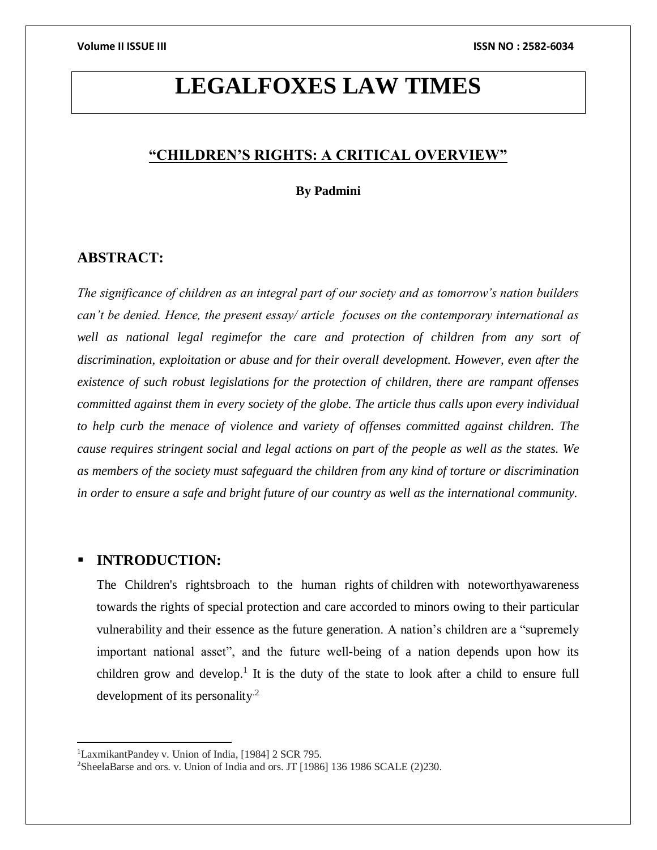# **LEGALFOXES LAW TIMES**

# **"CHILDREN'S RIGHTS: A CRITICAL OVERVIEW"**

**By Padmini**

# **ABSTRACT:**

*The significance of children as an integral part of our society and as tomorrow's nation builders can't be denied. Hence, the present essay/ article focuses on the contemporary international as*  well as national legal regimefor the care and protection of children from any sort of *discrimination, exploitation or abuse and for their overall development. However, even after the existence of such robust legislations for the protection of children, there are rampant offenses committed against them in every society of the globe. The article thus calls upon every individual to help curb the menace of violence and variety of offenses committed against children. The cause requires stringent social and legal actions on part of the people as well as the states. We as members of the society must safeguard the children from any kind of torture or discrimination in order to ensure a safe and bright future of our country as well as the international community.*

# **INTRODUCTION:**

 $\overline{\phantom{a}}$ 

The Children's rightsbroach to the [human rights](about:blank) of [children](about:blank) with noteworthyawareness towards the rights of special protection and care accorded to minors owing to their particular vulnerability and their essence as the future generation. A nation's children are a "supremely important national asset", and the future well-being of a nation depends upon how its children grow and develop.<sup>1</sup> It is the duty of the state to look after a child to ensure full development of its personality.<sup>2</sup>

<sup>1</sup>LaxmikantPandey v. Union of India, [1984] 2 SCR 795.

<sup>&</sup>lt;sup>2</sup>SheelaBarse and ors. v. Union of India and ors. JT [1986] 136 1986 SCALE (2)230.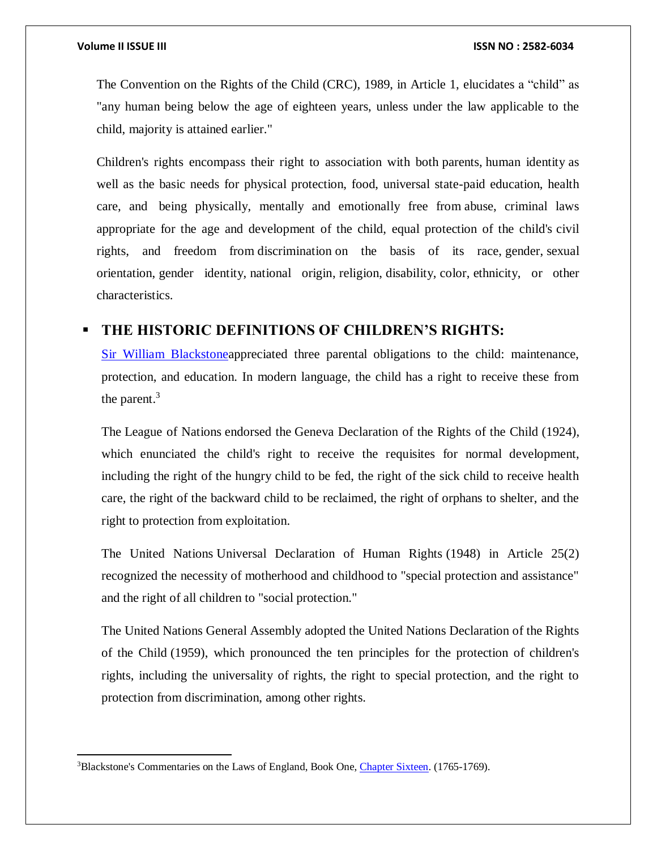$\overline{a}$ 

The [Convention on the Rights of the Child](about:blank) (CRC), 1989, in Article 1, elucidates a "child" as "any human being below the age of eighteen years, unless under the law applicable to the child, [majority](about:blank) is attained earlier."

Children's rights encompass their right to association with both [parents,](about:blank) [human identity](about:blank) as well as the basic needs for physical protection, food, universal state-paid education, health care, and being physically, mentally and emotionally free from [abuse,](about:blank) criminal laws appropriate for the age and development of the child, equal protection of the child's [civil](about:blank)  [rights,](about:blank) and freedom from [discrimination](about:blank) on the basis of its [race,](about:blank) [gender,](about:blank) [sexual](about:blank)  [orientation,](about:blank) [gender identity,](about:blank) [national origin,](about:blank) [religion,](about:blank) [disability,](about:blank) [color,](about:blank) [ethnicity,](about:blank) or other characteristics.

# **THE HISTORIC DEFINITIONS OF CHILDREN'S RIGHTS:**

[Sir William Blackstonea](about:blank)ppreciated three parental obligations to the child: maintenance, protection, and education. In modern language, the child has a right to receive these from the parent.<sup>3</sup>

The [League of Nations](about:blank) endorsed the [Geneva Declaration of the Rights of the Child](about:blank) (1924), which enunciated the child's right to receive the requisites for normal development, including the right of the hungry child to be fed, the right of the sick child to receive health care, the right of the backward child to be reclaimed, the right of orphans to shelter, and the right to protection from exploitation.

The United Nations [Universal Declaration of Human Rights](about:blank) (1948) in Article 25(2) recognized the necessity of motherhood and childhood to "special protection and assistance" and the right of all children to "social protection."

The [United Nations General Assembly](about:blank) adopted the United Nations [Declaration of the Rights](about:blank)  [of the Child](about:blank) (1959), which pronounced the ten principles for the protection of children's rights, including the universality of rights, the right to special protection, and the right to protection from discrimination, among other rights.

<sup>&</sup>lt;sup>3</sup>Blackstone's Commentaries on the Laws of England, Book One, [Chapter Sixteen.](about:blank) (1765-1769).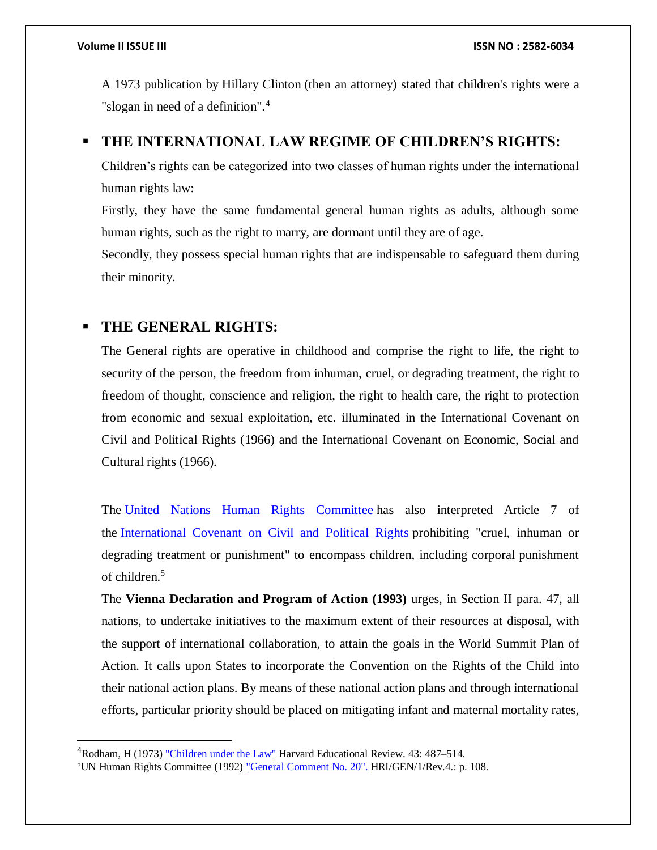$\overline{\phantom{a}}$ 

A 1973 publication by [Hillary Clinton](about:blank) (then an attorney) stated that children's rights were a "slogan in need of a definition".<sup>4</sup>

# **THE INTERNATIONAL LAW REGIME OF CHILDREN'S RIGHTS:**

Children's rights can be categorized into two classes of human rights under the international human rights law:

Firstly, they have the same fundamental general human rights as adults, although some human rights, such as the right to marry, are dormant until they are of age.

Secondly, they possess special human rights that are indispensable to safeguard them during their minority.

# **THE GENERAL RIGHTS:**

The General rights are operative in childhood and comprise the right to life, the right to security of the person, the freedom from inhuman, cruel, or degrading treatment, the right to freedom of thought, conscience and religion, the right to health care, the right to protection from economic and sexual exploitation, etc. illuminated in the International Covenant on Civil and Political Rights (1966) and the International Covenant on Economic, Social and Cultural rights (1966).

The [United Nations Human Rights Committee](about:blank) has also interpreted Article 7 of the [International Covenant on Civil and Political Rights](about:blank) prohibiting "cruel, inhuman or degrading treatment or punishment" to encompass children, including corporal punishment of children.<sup>5</sup>

The **Vienna Declaration and Program of Action (1993)** urges, in Section II para. 47, all nations, to undertake initiatives to the maximum extent of their resources at disposal, with the support of international collaboration, to attain the goals in the World Summit Plan of Action. It calls upon States to incorporate the Convention on the Rights of the Child into their national action plans. By means of these national action plans and through international efforts, particular priority should be placed on mitigating infant and maternal mortality rates,

<sup>&</sup>lt;sup>4</sup>Rodham, H (1973) ["Children under the Law"](about:blank) Harvard Educational Review. 43: 487–514.

<sup>5</sup>UN Human Rights Committee (1992) ["General Comment No. 20".](about:blank) HRI/GEN/1/Rev.4.: p. 108.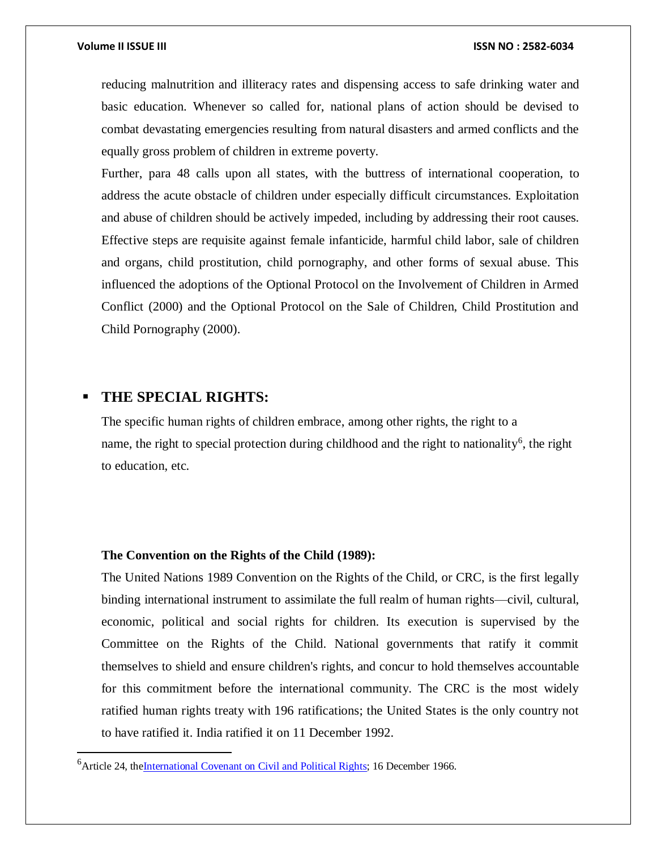reducing malnutrition and illiteracy rates and dispensing access to safe drinking water and basic education. Whenever so called for, national plans of action should be devised to combat devastating emergencies resulting from natural disasters and armed conflicts and the equally gross problem of children in extreme poverty.

Further, para 48 calls upon all states, with the buttress of international cooperation, to address the acute obstacle of children under especially difficult circumstances. Exploitation and abuse of children should be actively impeded, including by addressing their root causes. Effective steps are requisite against female infanticide, harmful child labor, sale of children and organs, child prostitution, child pornography, and other forms of sexual abuse. This influenced the adoptions of the Optional Protocol on the Involvement of Children in Armed Conflict (2000) and the Optional Protocol on the Sale of Children, Child Prostitution and Child Pornography (2000).

# **THE SPECIAL RIGHTS:**

 $\overline{\phantom{a}}$ 

The specific human rights of children embrace, among other rights, the right to a name, the right to special protection during childhood and the right to nationality<sup>6</sup>, the right to education, etc.

#### **The Convention on the Rights of the Child (1989):**

The United Nations 1989 Convention on the Rights of the Child, or CRC, is the first legally binding international instrument to assimilate the full realm of human rights—civil, cultural, economic, political and social rights for children. Its execution is supervised by the Committee on the Rights of the Child. National governments that ratify it commit themselves to shield and ensure children's rights, and concur to hold themselves accountable for this commitment before the international community. The CRC is the most widely ratified human rights treaty with 196 ratifications; the United States is the only country not to have ratified it. India ratified it on 11 December 1992.

<sup>&</sup>lt;sup>6</sup> Article 24, the International Covenant on Civil and Political Rights; 16 December 1966.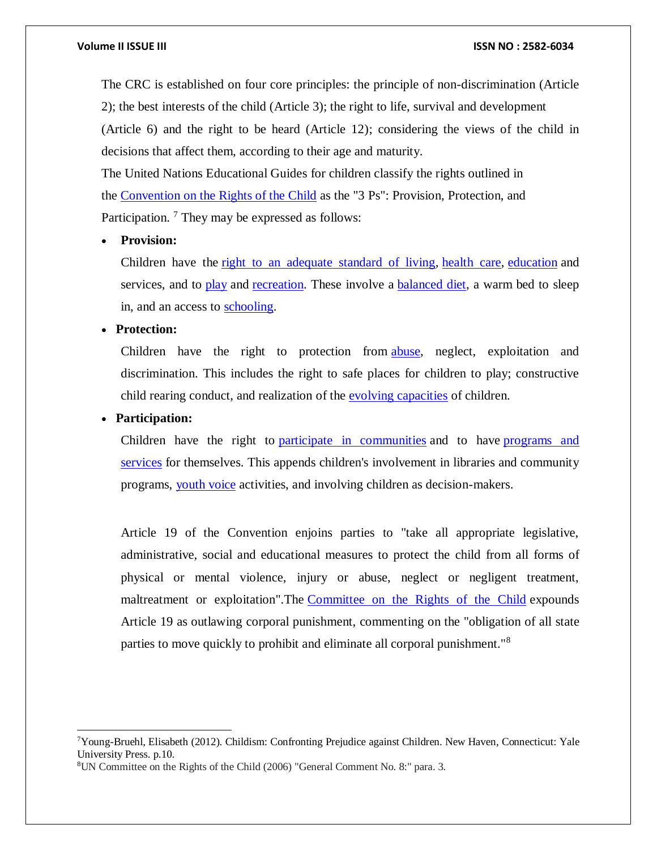#### **Volume II ISSUE III ISSN NO : 2582-6034**

The CRC is established on four core principles: the principle of non-discrimination (Article 2); the best interests of the child (Article 3); the right to life, survival and development (Article 6) and the right to be heard (Article 12); considering the views of the child in decisions that affect them, according to their age and maturity.

The United Nations Educational Guides for children classify the rights outlined in the [Convention on the Rights of the Child](about:blank) as the "3 Ps": Provision, Protection, and Participation.<sup>7</sup> They may be expressed as follows:

### **Provision:**

Children have the [right to an adequate standard of living,](about:blank) [health care,](about:blank) [education](about:blank) and services, and to [play](about:blank) and [recreation.](about:blank) These involve a [balanced diet,](about:blank) a warm bed to sleep in, and an access to [schooling.](about:blank)

#### **Protection:**

Children have the right to protection from [abuse,](about:blank) neglect, exploitation and discrimination. This includes the right to safe places for children to play; constructive child rearing conduct, and realization of the [evolving capacities](about:blank) of children.

#### **Participation:**

 $\overline{a}$ 

Children have the right to [participate in communities](about:blank) and to have [programs and](about:blank)  [services](about:blank) for themselves. This appends children's involvement in libraries and community programs, [youth voice](about:blank) activities, and involving children as decision-makers.

Article 19 of the Convention enjoins parties to "take all appropriate legislative, administrative, social and educational measures to protect the child from all forms of physical or mental violence, injury or abuse, neglect or negligent treatment, maltreatment or exploitation". The [Committee on the Rights of the Child](about:blank) expounds Article 19 as outlawing corporal punishment, commenting on the "obligation of all state parties to move quickly to prohibit and eliminate all corporal punishment."<sup>8</sup>

 $7$ Young-Bruehl, Elisabeth (2012). Childism: Confronting Prejudice against Children. New Haven, Connecticut: Yale University Press. p.10.

<sup>8</sup>UN Committee on the Rights of the Child (2006) "General Comment No. 8:" para. 3.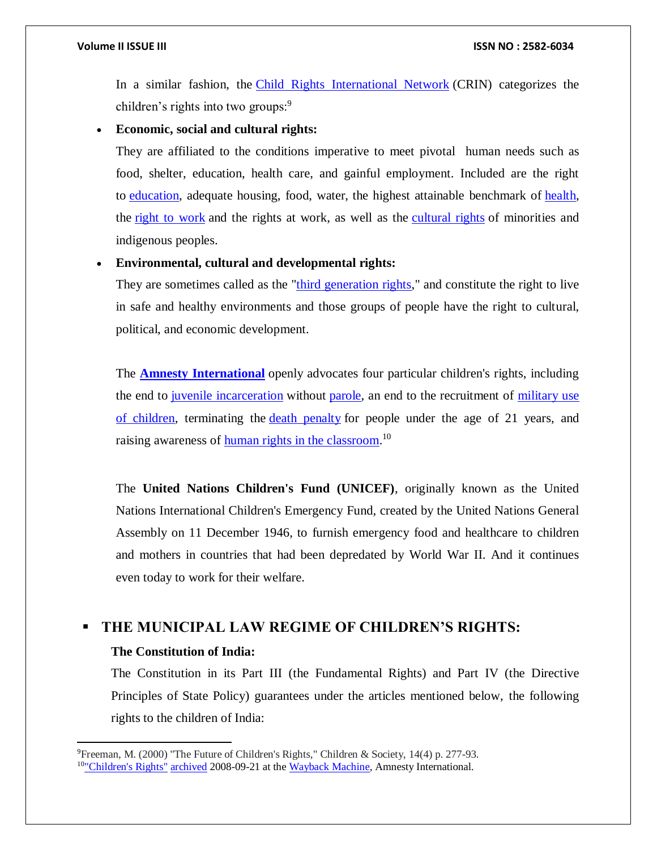In a similar fashion, the [Child Rights International Network](about:blank) (CRIN) categorizes the children's rights into two groups:<sup>9</sup>

#### **Economic, social and cultural rights:**

They are affiliated to the conditions imperative to meet pivotal human needs such as food, shelter, education, health care, and gainful employment. Included are the right to [education,](about:blank) adequate housing, food, water, the highest attainable benchmark of [health,](about:blank) the [right to work](about:blank) and the rights at work, as well as the [cultural rights](about:blank) of minorities and indigenous peoples.

# **Environmental, cultural and developmental rights:**

They are sometimes called as the ["third generation rights,](about:blank)" and constitute the right to live in safe and healthy environments and those groups of people have the right to cultural, political, and economic development.

The **[Amnesty International](about:blank)** openly advocates four particular children's rights, including the end to [juvenile incarceration](about:blank) without [parole,](about:blank) an end to the recruitment of military use [of children,](about:blank) terminating the [death penalty](about:blank) for people under the age of 21 years, and raising awareness of **human rights in the classroom**.<sup>10</sup>

The **United Nations Children's Fund (UNICEF)**, originally known as the United Nations International Children's Emergency Fund, created by the United Nations General Assembly on 11 December 1946, to furnish emergency food and healthcare to children and mothers in countries that had been depredated by World War II. And it continues even today to work for their welfare.

# **THE MUNICIPAL LAW REGIME OF CHILDREN'S RIGHTS:**

#### **The Constitution of India:**

 $\overline{\phantom{a}}$ 

The Constitution in its Part III (the Fundamental Rights) and Part IV (the Directive Principles of State Policy) guarantees under the articles mentioned below, the following rights to the children of India:

<sup>9</sup>Freeman, M. (2000) "The Future of Children's Rights," Children & Society, 14(4) p. 277-93.

<sup>&</sup>lt;sup>10"</sup>Children's Rights" [archived](about:blank) 2008-09-21 at the [Wayback Machine,](https://en.wikipedia.org/wiki/Wayback_Machine) Amnesty International.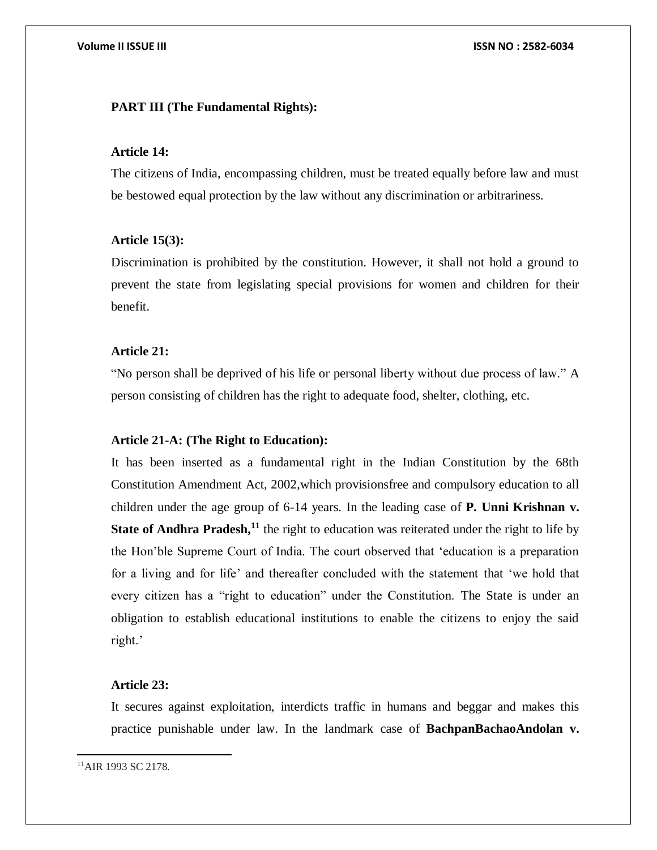### **PART III (The Fundamental Rights):**

#### **Article 14:**

The citizens of India, encompassing children, must be treated equally before law and must be bestowed equal protection by the law without any discrimination or arbitrariness.

#### **Article 15(3):**

Discrimination is prohibited by the constitution. However, it shall not hold a ground to prevent the state from legislating special provisions for women and children for their benefit.

#### **Article 21:**

"No person shall be deprived of his life or personal liberty without due process of law." A person consisting of children has the right to adequate food, shelter, clothing, etc.

#### **Article 21-A: (The Right to Education):**

It has been inserted as a fundamental right in the Indian Constitution by the 68th Constitution Amendment Act, 2002,which provisionsfree and compulsory education to all children under the age group of 6-14 years. In the leading case of **P. Unni Krishnan v. State of Andhra Pradesh,**<sup>11</sup> the right to education was reiterated under the right to life by the Hon'ble Supreme Court of India. The court observed that 'education is a preparation for a living and for life' and thereafter concluded with the statement that 'we hold that every citizen has a "right to education" under the Constitution. The State is under an obligation to establish educational institutions to enable the citizens to enjoy the said right.'

# **Article 23:**

It secures against exploitation, interdicts traffic in humans and beggar and makes this practice punishable under law. In the landmark case of **BachpanBachaoAndolan v.** 

 $\overline{a}$ <sup>11</sup>AIR 1993 SC 2178.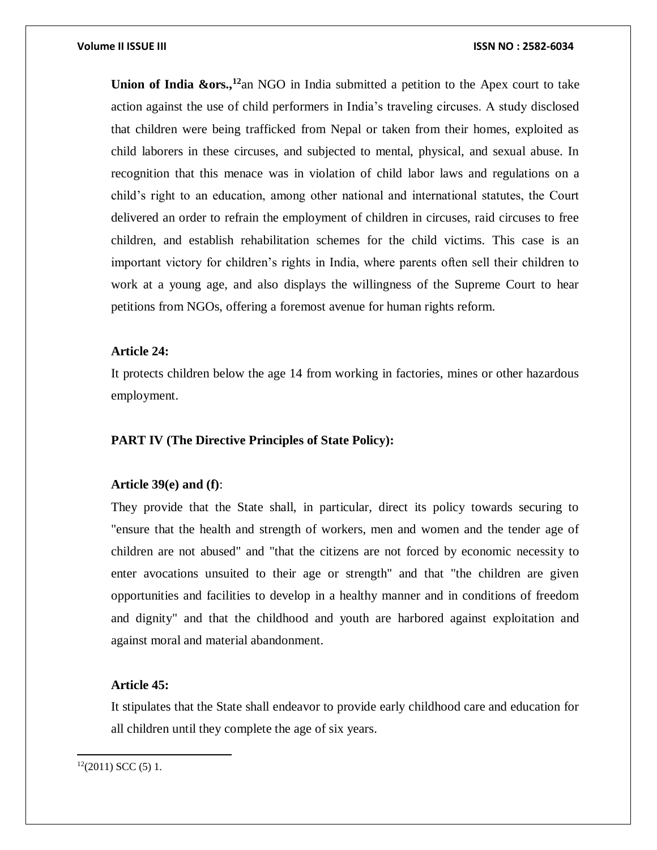**Union of India &ors.,<sup>12</sup>**an NGO in India submitted a petition to the Apex court to take action against the use of child performers in India's traveling circuses. A study disclosed that children were being trafficked from Nepal or taken from their homes, exploited as child laborers in these circuses, and subjected to mental, physical, and sexual abuse. In recognition that this menace was in violation of child labor laws and regulations on a child's right to an education, among other national and international statutes, the Court delivered an order to refrain the employment of children in circuses, raid circuses to free children, and establish rehabilitation schemes for the child victims. This case is an important victory for children's rights in India, where parents often sell their children to work at a young age, and also displays the willingness of the Supreme Court to hear petitions from NGOs, offering a foremost avenue for human rights reform.

#### **Article 24:**

It protects children below the age 14 from working in factories, mines or other hazardous employment.

### **PART IV (The Directive Principles of State Policy):**

#### **Article 39(e) and (f)**:

They provide that the State shall, in particular, direct its policy towards securing to "ensure that the health and strength of workers, men and women and the tender age of children are not abused" and "that the citizens are not forced by economic necessity to enter avocations unsuited to their age or strength" and that "the children are given opportunities and facilities to develop in a healthy manner and in conditions of freedom and dignity" and that the childhood and youth are harbored against exploitation and against moral and material abandonment.

# **Article 45:**

It stipulates that the State shall endeavor to provide early childhood care and education for all children until they complete the age of six years.

 $12(2011)$  SCC (5) 1.

 $\overline{a}$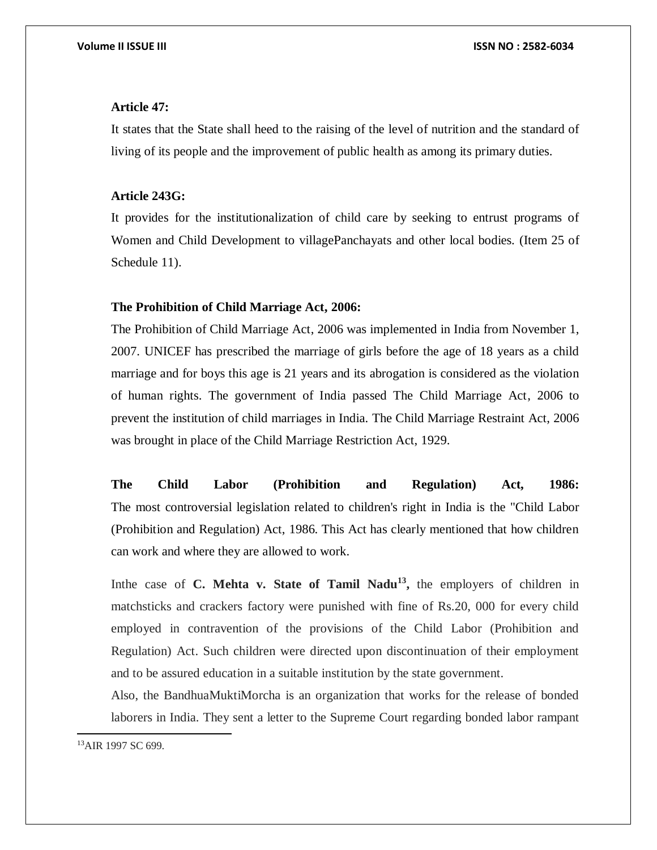### **Article 47:**

It states that the State shall heed to the raising of the level of nutrition and the standard of living of its people and the improvement of public health as among its primary duties.

#### **Article 243G:**

It provides for the institutionalization of child care by seeking to entrust programs of Women and Child Development to villagePanchayats and other local bodies. (Item 25 of Schedule 11).

#### **The Prohibition of Child Marriage Act, 2006:**

The Prohibition of Child Marriage Act, 2006 was implemented in India from November 1, 2007. UNICEF has prescribed the marriage of girls before the age of 18 years as a child marriage and for boys this age is 21 years and its abrogation is considered as the violation of human rights. The government of India passed The Child Marriage Act, 2006 to prevent the institution of child marriages in India. The Child Marriage Restraint Act, 2006 was brought in place of the Child Marriage Restriction Act, 1929.

**The Child Labor (Prohibition and Regulation) Act, 1986:** The most controversial legislation related to children's right in India is the "Child Labor (Prohibition and Regulation) Act, 1986. This Act has clearly mentioned that how children can work and where they are allowed to work.

In the case of **C.** Mehta v. State of Tamil Nadu<sup>13</sup>, the employers of children in matchsticks and crackers factory were punished with fine of Rs.20, 000 for every child employed in contravention of the provisions of the Child Labor (Prohibition and Regulation) Act. Such children were directed upon discontinuation of their employment and to be assured education in a suitable institution by the state government.

Also, the BandhuaMuktiMorcha is an organization that works for the release of bonded laborers in India. They sent a letter to the Supreme Court regarding bonded labor rampant

 $\overline{\phantom{a}}$ 

<sup>&</sup>lt;sup>13</sup>AIR 1997 SC 699.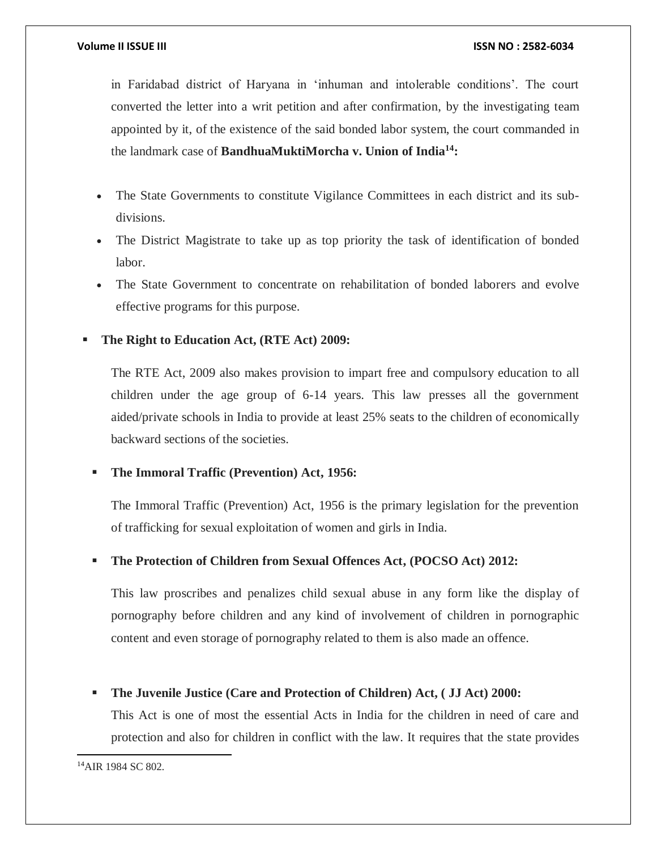in Faridabad district of Haryana in 'inhuman and intolerable conditions'. The court converted the letter into a writ petition and after confirmation, by the investigating team appointed by it, of the existence of the said bonded labor system, the court commanded in the landmark case of **BandhuaMuktiMorcha v. Union of India<sup>14</sup>:**

- The State Governments to constitute Vigilance Committees in each district and its subdivisions.
- The District Magistrate to take up as top priority the task of identification of bonded labor.
- The State Government to concentrate on rehabilitation of bonded laborers and evolve effective programs for this purpose.

# **The Right to Education Act, (RTE Act) 2009:**

The RTE Act, 2009 also makes provision to impart free and compulsory education to all children under the age group of 6-14 years. This law presses all the government aided/private schools in India to provide at least 25% seats to the children of economically backward sections of the societies.

# **The Immoral Traffic (Prevention) Act, 1956:**

The Immoral Traffic (Prevention) Act, 1956 is the primary legislation for the prevention of trafficking for sexual exploitation of women and girls in India.

# **The Protection of Children from Sexual Offences Act, (POCSO Act) 2012:**

This law proscribes and penalizes child sexual abuse in any form like the display of pornography before children and any kind of involvement of children in pornographic content and even storage of pornography related to them is also made an offence.

# **The Juvenile Justice (Care and Protection of Children) Act, ( JJ Act) 2000:**

This Act is one of most the essential Acts in India for the children in need of care and protection and also for children in conflict with the law. It requires that the state provides

 $\overline{a}$ <sup>14</sup>AIR 1984 SC 802.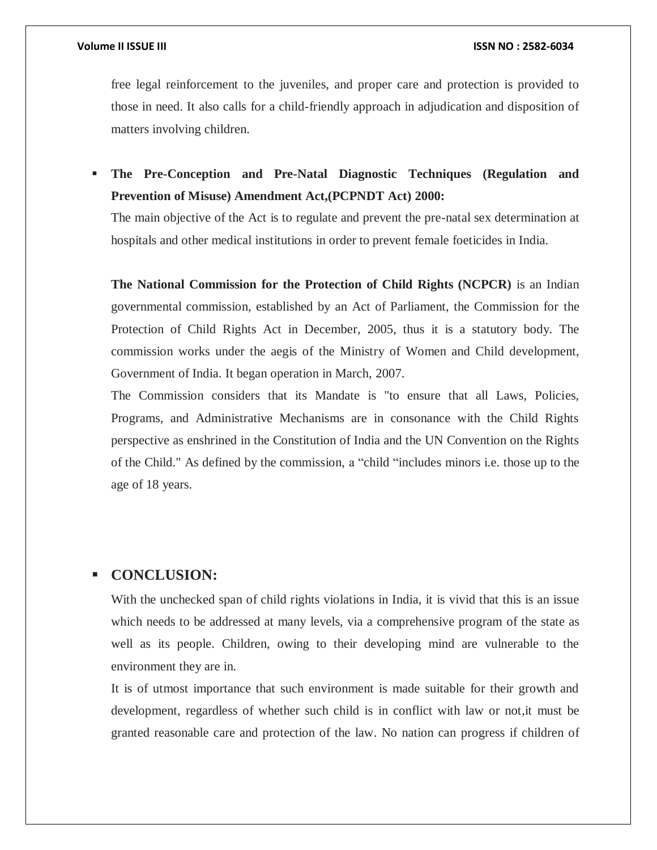free legal reinforcement to the juveniles, and proper care and protection is provided to those in need. It also calls for a child-friendly approach in adjudication and disposition of matters involving children.

 **The Pre-Conception and Pre-Natal Diagnostic Techniques (Regulation and Prevention of Misuse) Amendment Act,(PCPNDT Act) 2000:**

The main objective of the Act is to regulate and prevent the pre-natal sex determination at hospitals and other medical institutions in order to prevent female foeticides in India.

**The National Commission for the Protection of Child Rights (NCPCR)** is an Indian governmental commission, established by an Act of Parliament, the Commission for the Protection of Child Rights Act in December, 2005, thus it is a statutory body. The commission works under the aegis of the Ministry of Women and Child development, Government of India. It began operation in March, 2007.

The Commission considers that its Mandate is "to ensure that all Laws, Policies, Programs, and Administrative Mechanisms are in consonance with the Child Rights perspective as enshrined in the Constitution of India and the UN Convention on the Rights of the Child." As defined by the commission, a "child "includes minors i.e. those up to the age of 18 years.

# **CONCLUSION:**

With the unchecked span of child rights violations in India, it is vivid that this is an issue which needs to be addressed at many levels, via a comprehensive program of the state as well as its people. Children, owing to their developing mind are vulnerable to the environment they are in.

It is of utmost importance that such environment is made suitable for their growth and development, regardless of whether such child is in conflict with law or not,it must be granted reasonable care and protection of the law. No nation can progress if children of